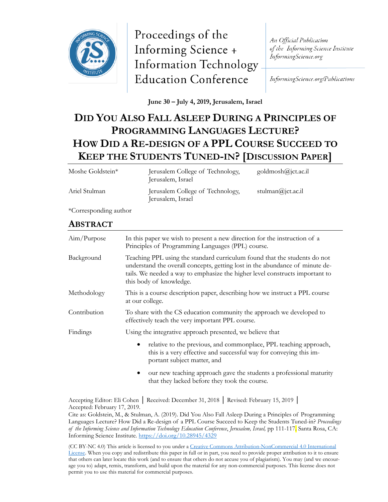

Proceedings of the Informing Science + **Information Technology Education Conference** 

An Official Publication of the Informing Science Institute InformingScience.org

InformingScience.org/Publications

**June 30 – July 4, 2019, Jerusalem, Israel**

# **DID YOU ALSO FALL ASLEEP DURING A PRINCIPLES OF PROGRAMMING LANGUAGES LECTURE? HOW DID A RE-DESIGN OF A PPL COURSE SUCCEED TO KEEP THE STUDENTS TUNED-IN? [DISCUSSION PAPER]**

| Moshe Goldstein* | Jerusalem College of Technology,<br>Jerusalem, Israel | $\text{goldmosh}(\alpha)$ jct.ac.il |
|------------------|-------------------------------------------------------|-------------------------------------|
| Ariel Stulman    | Jerusalem College of Technology,<br>Jerusalem, Israel | stulman $(a)$ jct.ac.il             |

\*Corresponding author

# **ABSTRACT**

| Aim/Purpose  | In this paper we wish to present a new direction for the instruction of a<br>Principles of Programming Languages (PPL) course.                                                                                                                                       |  |
|--------------|----------------------------------------------------------------------------------------------------------------------------------------------------------------------------------------------------------------------------------------------------------------------|--|
| Background   | Teaching PPL using the standard curriculum found that the students do not<br>understand the overall concepts, getting lost in the abundance of minute de-<br>tails. We needed a way to emphasize the higher level constructs important to<br>this body of knowledge. |  |
| Methodology  | This is a course description paper, describing how we instruct a PPL course<br>at our college.                                                                                                                                                                       |  |
| Contribution | To share with the CS education community the approach we developed to<br>effectively teach the very important PPL course.                                                                                                                                            |  |
| Findings     | Using the integrative approach presented, we believe that                                                                                                                                                                                                            |  |
|              | relative to the previous, and commonplace, PPL teaching approach,<br>$\bullet$<br>this is a very effective and successful way for conveying this im-<br>portant subject matter, and                                                                                  |  |
|              | our new teaching approach gave the students a professional maturity                                                                                                                                                                                                  |  |

iew teaching approach gave the students a professional maturity that they lacked before they took the course.

Accepting Editor: Eli Cohen │ Received: December 31, 2018 │ Revised: February 15, 2019 │ Accepted: February 17, 2019.

Cite as: Goldstein, M., & Stulman, A. (2019). Did You Also Fall Asleep During a Principles of Programming Languages Lecture? How Did a Re-design of a PPL Course Succeed to Keep the Students Tuned-in? *Proceedings of the Informing Science and Information Technology Education Conference*, *Jerusalem, Israel,* pp 111-117. Santa Rosa, CA: Informing Science Institute.<https://doi.org/10.28945/4329>

(CC BY-NC 4.0) This article is licensed to you under a Creative Commons Attribution-[NonCommercial 4.0 International](https://creativecommons.org/licenses/by-nc/4.0/)  [License.](https://creativecommons.org/licenses/by-nc/4.0/) When you copy and redistribute this paper in full or in part, you need to provide proper attribution to it to ensure that others can later locate this work (and to ensure that others do not accuse you of plagiarism). You may (and we encourage you to) adapt, remix, transform, and build upon the material for any non-commercial purposes. This license does not permit you to use this material for commercial purposes.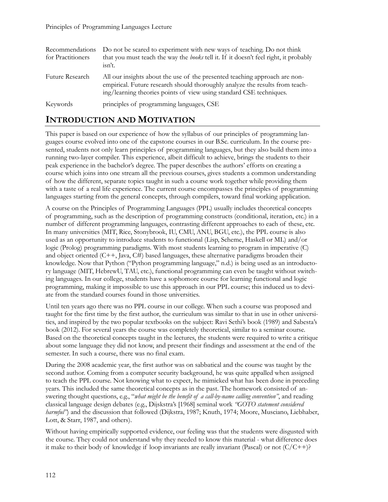| Recommendations<br>for Practitioners | Do not be scared to experiment with new ways of teaching. Do not think<br>that you must teach the way the <i>books</i> tell it. If it doesn't feel right, it probably<br>isn't.                                                   |
|--------------------------------------|-----------------------------------------------------------------------------------------------------------------------------------------------------------------------------------------------------------------------------------|
| Future Research                      | All our insights about the use of the presented teaching approach are non-<br>empirical. Future research should thoroughly analyze the results from teach-<br>ing/learning theories points of view using standard CSE techniques. |
| Keywords                             | principles of programming languages, CSE                                                                                                                                                                                          |

# **INTRODUCTION AND MOTIVATION**

This paper is based on our experience of how the syllabus of our principles of programming languages course evolved into one of the capstone courses in our B.Sc. curriculum. In the course presented, students not only learn principles of programming languages, but they also build them into a running two-layer compiler. This experience, albeit difficult to achieve, brings the students to their peak experience in the bachelor's degree. The paper describes the authors' efforts on creating a course which joins into one stream all the previous courses, gives students a common understanding of how the different, separate topics taught in such a course work together while providing them with a taste of a real life experience. The current course encompasses the principles of programming languages starting from the general concepts, through compilers, toward final working application.

A course on the Principles of Programming Languages (PPL) usually includes theoretical concepts of programming, such as the description of programming constructs (conditional, iteration, etc.) in a number of different programming languages, contrasting different approaches to each of these, etc. In many universities (MIT, Rice, Stonybrook, IU, CMU, ANU, BGU, etc.), the PPL course is also used as an opportunity to introduce students to functional (Lisp, Scheme, Haskell or ML) and/or logic (Prolog) programming paradigms. With most students learning to program in imperative (C) and object oriented  $(C++, Java, C#)$  based languages, these alternative paradigms broaden their knowledge. Now that Python ("Python programming language," n.d.) is being used as an introductory language (MIT, HebrewU, TAU, etc.), functional programming can even be taught without switching languages. In our college, students have a sophomore course for learning functional and logic programming, making it impossible to use this approach in our PPL course; this induced us to deviate from the standard courses found in those universities.

Until ten years ago there was no PPL course in our college. When such a course was proposed and taught for the first time by the first author, the curriculum was similar to that in use in other universities, and inspired by the two popular textbooks on the subject: Ravi Sethi's book (1989) and Sabesta's book (2012). For several years the course was completely theoretical, similar to a seminar course. Based on the theoretical concepts taught in the lectures, the students were required to write a critique about some language they did not know, and present their findings and assessment at the end of the semester. In such a course, there was no final exam.

During the 2008 academic year, the first author was on sabbatical and the course was taught by the second author. Coming from a computer security background, he was quite appalled when assigned to teach the PPL course. Not knowing what to expect, he mimicked what has been done in preceding years. This included the same theoretical concepts as in the past. The homework consisted of answering thought questions, e.g., "*what might be the benefit of a call-by-name calling convention"*, and reading classical language design debates (e.g., Dijskstra's [1968] seminal work *"GOTO statement considered harmful"*) and the discussion that followed (Dijkstra, 1987; Knuth, 1974; Moore, Musciano, Liebhaber, Lott, & Starr, 1987, and others).

Without having empirically supported evidence, our feeling was that the students were disgusted with the course. They could not understand why they needed to know this material - what difference does it make to their body of knowledge if loop invariants are really invariant (Pascal) or not  $(C/C++)$ ?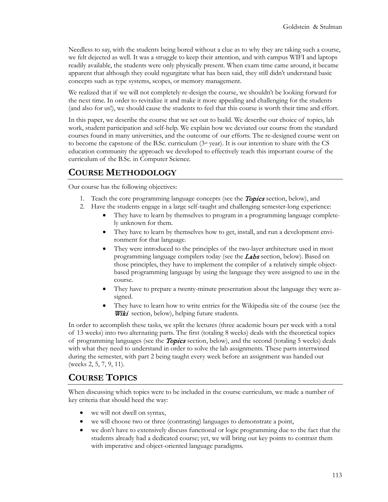Needless to say, with the students being bored without a clue as to why they are taking such a course, we felt dejected as well. It was a struggle to keep their attention, and with campus WIFI and laptops readily available, the students were only physically present. When exam time came around, it became apparent that although they could regurgitate what has been said, they still didn't understand basic concepts such as type systems, scopes, or memory management.

We realized that if we will not completely re-design the course, we shouldn't be looking forward for the next time. In order to revitalize it and make it more appealing and challenging for the students (and also for us!), we should cause the students to feel that this course is worth their time and effort.

In this paper, we describe the course that we set out to build. We describe our choice of topics, lab work, student participation and self-help. We explain how we deviated our course from the standard courses found in many universities, and the outcome of our efforts. The re-designed course went on to become the capstone of the B.Sc. curriculum  $(3<sup>d</sup> \text{ year})$ . It is our intention to share with the CS education community the approach we developed to effectively teach this important course of the curriculum of the B.Sc. in Computer Science.

# **COURSE METHODOLOGY**

Our course has the following objectives:

- 1. Teach the core programming language concepts (see the **Topics** section, below), and
- 2. Have the students engage in a large self-taught and challenging semester-long experience:
	- They have to learn by themselves to program in a programming language completely unknown for them.
	- They have to learn by themselves how to get, install, and run a development environment for that language.
	- They were introduced to the principles of the two-layer architecture used in most programming language compilers today (see the Labs section, below). Based on those principles, they have to implement the compiler of a relatively simple objectbased programming language by using the language they were assigned to use in the course.
	- They have to prepare a twenty-minute presentation about the language they were assigned.
	- They have to learn how to write entries for the Wikipedia site of the course (see the Wiki section, below), helping future students.

In order to accomplish these tasks, we split the lectures (three academic hours per week with a total of 13 weeks) into two alternating parts. The first (totaling 8 weeks) deals with the theoretical topics of programming languages (see the *Topics* section, below), and the second (totaling 5 weeks) deals with what they need to understand in order to solve the lab assignments. These parts intertwined during the semester, with part 2 being taught every week before an assignment was handed out (weeks 2, 5, 7, 9, 11).

# **COURSE TOPICS**

When discussing which topics were to be included in the course curriculum, we made a number of key criteria that should heed the way:

- we will not dwell on syntax,
- we will choose two or three (contrasting) languages to demonstrate a point,
- we don't have to extensively discuss functional or logic programming due to the fact that the students already had a dedicated course; yet, we will bring out key points to contrast them with imperative and object-oriented language paradigms.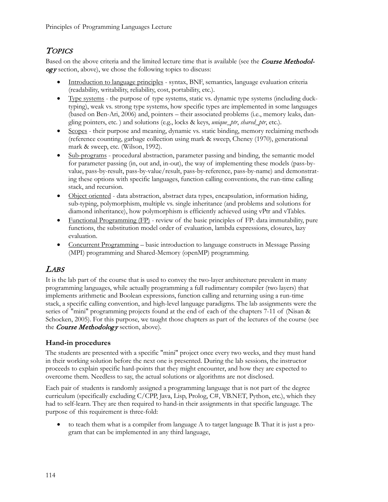# **TOPICS**

Based on the above criteria and the limited lecture time that is available (see the **Course Methodol** $ogy$  section, above), we chose the following topics to discuss:

- Introduction to language principles syntax, BNF, semantics, language evaluation criteria (readability, writability, reliability, cost, portability, etc.).
- Type systems the purpose of type systems, static vs. dynamic type systems (including ducktyping), weak vs. strong type systems, how specific types are implemented in some languages (based on Ben-Ari, 2006) and, pointers – their associated problems (i.e., memory leaks, dangling pointers, etc. ) and solutions (e.g., locks & keys, *unique\_ptr*, *shared\_ptr*, etc.).
- Scopes their purpose and meaning, dynamic vs. static binding, memory reclaiming methods (reference counting, garbage collection using mark & sweep, Cheney (1970), generational mark & sweep, etc. (Wilson, 1992).
- Sub-programs procedural abstraction, parameter passing and binding, the semantic model for parameter passing (in, out and, in-out), the way of implementing these models (pass-byvalue, pass-by-result, pass-by-value/result, pass-by-reference, pass-by-name) and demonstrating these options with specific languages, function calling conventions, the run-time calling stack, and recursion.
- Object oriented data abstraction, abstract data types, encapsulation, information hiding, sub-typing, polymorphism, multiple vs. single inheritance (and problems and solutions for diamond inheritance), how polymorphism is efficiently achieved using vPtr and vTables.
- Functional Programming (FP) review of the basic principles of FP: data immutability, pure functions, the substitution model order of evaluation, lambda expressions, closures, lazy evaluation.
- Concurrent Programming basic introduction to language constructs in Message Passing (MPI) programming and Shared-Memory (openMP) programming.

# LABS

It is the lab part of the course that is used to convey the two-layer architecture prevalent in many programming languages, while actually programming a full rudimentary compiler (two layers) that implements arithmetic and Boolean expressions, function calling and returning using a run-time stack, a specific calling convention, and high-level language paradigms. The lab assignments were the series of "mini" programming projects found at the end of each of the chapters 7-11 of (Nisan & Schocken, 2005). For this purpose, we taught those chapters as part of the lectures of the course (see the Course Methodology section, above).

#### **Hand-in procedures**

The students are presented with a specific "mini" project once every two weeks, and they must hand in their working solution before the next one is presented. During the lab sessions, the instructor proceeds to explain specific hard-points that they might encounter, and how they are expected to overcome them. Needless to say, the actual solutions or algorithms are not disclosed.

Each pair of students is randomly assigned a programming language that is not part of the degree curriculum (specifically excluding C/CPP, Java, Lisp, Prolog, C#, VB.NET, Python, etc.), which they had to self-learn. They are then required to hand-in their assignments in that specific language. The purpose of this requirement is three-fold:

• to teach them what is a compiler from language A to target language B. That it is just a program that can be implemented in any third language,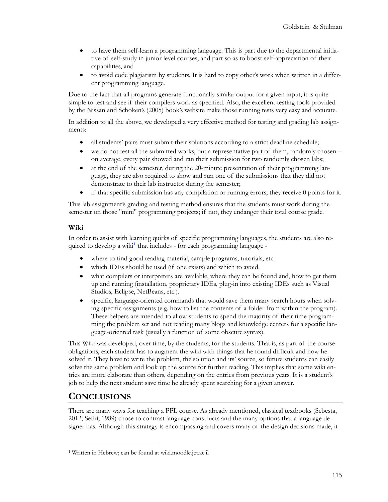- to have them self-learn a programming language. This is part due to the departmental initiative of self-study in junior level courses, and part so as to boost self-appreciation of their capabilities, and
- to avoid code plagiarism by students. It is hard to copy other's work when written in a different programming language.

Due to the fact that all programs generate functionally similar output for a given input, it is quite simple to test and see if their compilers work as specified. Also, the excellent testing tools provided by the Nissan and Schoken's (2005) book's website make those running tests very easy and accurate.

In addition to all the above, we developed a very effective method for testing and grading lab assignments:

- all students' pairs must submit their solutions according to a strict deadline schedule;
- we do not test all the submitted works, but a representative part of them, randomly chosen on average, every pair showed and ran their submission for two randomly chosen labs;
- at the end of the semester, during the 20-minute presentation of their programming language, they are also required to show and run one of the submissions that they did not demonstrate to their lab instructor during the semester;
- if that specific submission has any compilation or running errors, they receive  $0$  points for it.

This lab assignment's grading and testing method ensures that the students must work during the semester on those "mini" programming projects; if not, they endanger their total course grade.

#### **Wiki**

In order to assist with learning quirks of specific programming languages, the students are also re-quired to develop a wiki<sup>[1](#page-4-0)</sup> that includes - for each programming language -

- where to find good reading material, sample programs, tutorials, etc.
- which IDEs should be used (if one exists) and which to avoid.
- what compilers or interpreters are available, where they can be found and, how to get them up and running (installation, proprietary IDEs, plug-in into existing IDEs such as Visual Studios, Eclipse, NetBeans, etc.).
- specific, language-oriented commands that would save them many search hours when solving specific assignments (e.g. how to list the contents of a folder from within the program). These helpers are intended to allow students to spend the majority of their time programming the problem set and not reading many blogs and knowledge centers for a specific language-oriented task (usually a function of some obscure syntax).

This Wiki was developed, over time, by the students, for the students. That is, as part of the course obligations, each student has to augment the wiki with things that he found difficult and how he solved it. They have to write the problem, the solution and its' source, so future students can easily solve the same problem and look up the source for further reading. This implies that some wiki entries are more elaborate than others, depending on the entries from previous years. It is a student's job to help the next student save time he already spent searching for a given answer.

### **CONCLUSIONS**

 $\overline{a}$ 

There are many ways for teaching a PPL course. As already mentioned, classical textbooks (Sebesta, 2012; Sethi, 1989) chose to contrast language constructs and the many options that a language designer has. Although this strategy is encompassing and covers many of the design decisions made, it

<span id="page-4-0"></span><sup>1</sup> Written in Hebrew; can be found at wiki.moodle.jct.ac.il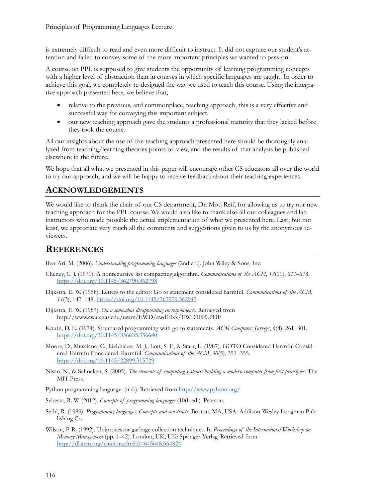is extremely difficult to read and even more difficult to instruct. It did not capture our student's attention and failed to convey some of the more important principles we wanted to pass-on.

A course on PPL is supposed to give students the opportunity of learning programming concepts with a higher level of abstraction than in courses in which specific languages are taught. In order to achieve this goal, we completely re-designed the way we used to teach this course. Using the integrative approach presented here, we believe that,

- relative to the previous, and commonplace, teaching approach, this is a very effective and successful way for conveying this important subject.
- our new teaching approach gave the students a professional maturity that they lacked before they took the course.

All our insights about the use of the teaching approach presented here should be thoroughly analyzed from teaching/learning theories points of view, and the results of that analysis be published elsewhere in the future.

We hope that all what we presented in this paper will encourage other CS educators all over the world to try our approach, and we will be happy to receive feedback about their teaching experiences.

### **ACKNOWLEDGEMENTS**

We would like to thank the chair of our CS department, Dr. Moti Reif, for allowing us to try our new teaching approach for the PPL course. We would also like to thank also all our colleagues and lab instructors who made possible the actual implementation of what we presented here. Last, but not least, we appreciate very much all the comments and suggestions given to us by the anonymous reviewers.

#### **REFERENCES**

Ben-Ari, M. (2006). *Understanding programming languages* (2nd ed.). John Wiley & Sons, Inc.

- Cheney, C. J. (1970). A nonrecursive list compacting algorithm. *Communications of the ACM*, *13*(11), 677–678. <https://doi.org/10.1145/362790.362798>
- Dijkstra, E. W. (1968). Letters to the editor: Go to statement considered harmful. *Communications of the ACM*, *11*(3), 147–148.<https://doi.org/10.1145/362929.362947>
- Dijkstra, E. W. (1987). *On a somewhat disappointing correspondence*. Retrieved from http://www.cs.utexas.edu/users/EWD/ewd10xx/EWD1009.PDF
- Knuth, D. E. (1974). Structured programming with go to statements. *ACM Computer Surveys*, *6*(4), 261–301. <https://doi.org/10.1145/356635.356640>
- Moore, D., Musciano, C., Liebhaber, M. J., Lott, S. F., & Starr, L. (1987). GOTO Considered Harmful Considered Harmfu Considered Harmful. *Communications of the ACM*, *30*(5), 351–355. [https://doi.org/10.1145/](https://doi.org/10.1145/22899.315729)22899.315729
- Nisan, N., & Schocken, S. (2005). *The elements of computing systems: building a modern computer from first principles*. The MIT Press.

Python programming language. (n.d.). Retrieved from<http://www.pyhton.org/>

- Sebesta, R. W. (2012). *Concepts of programming languages* (10th ed.). Pearson.
- Sethi, R. (1989). *Programming languages: Concepts and constructs*. Boston, MA, USA: Addison-Wesley Longman Publishing Co.
- Wilson, P. R. (1992). Uniprocessor garbage collection techniques. In *Proceedings of the International Workshop on Memory Management* (pp. 1–42). London, UK, UK: Springer-Verlag. Retrieved from <http://dl.acm.org/citation.cfm?id=645648.664824>